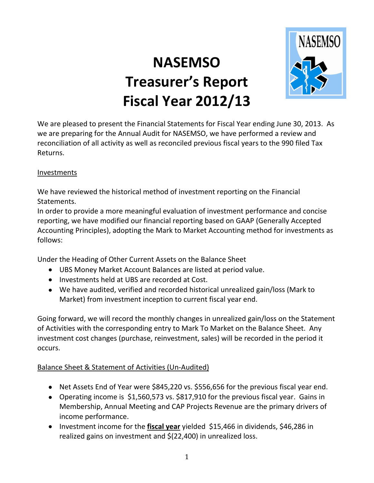## **NASEMSO Treasurer's Report Fiscal Year 2012/13**



We are pleased to present the Financial Statements for Fiscal Year ending June 30, 2013. As we are preparing for the Annual Audit for NASEMSO, we have performed a review and reconciliation of all activity as well as reconciled previous fiscal years to the 990 filed Tax Returns.

## Investments

We have reviewed the historical method of investment reporting on the Financial Statements.

In order to provide a more meaningful evaluation of investment performance and concise reporting, we have modified our financial reporting based on GAAP (Generally Accepted Accounting Principles), adopting the Mark to Market Accounting method for investments as follows:

Under the Heading of Other Current Assets on the Balance Sheet

- UBS Money Market Account Balances are listed at period value.
- Investments held at UBS are recorded at Cost.
- We have audited, verified and recorded historical unrealized gain/loss (Mark to Market) from investment inception to current fiscal year end.

Going forward, we will record the monthly changes in unrealized gain/loss on the Statement of Activities with the corresponding entry to Mark To Market on the Balance Sheet. Any investment cost changes (purchase, reinvestment, sales) will be recorded in the period it occurs.

## Balance Sheet & Statement of Activities (Un-Audited)

- Net Assets End of Year were \$845,220 vs. \$556,656 for the previous fiscal year end.
- Operating income is \$1,560,573 vs. \$817,910 for the previous fiscal year. Gains in Membership, Annual Meeting and CAP Projects Revenue are the primary drivers of income performance.
- Investment income for the **fiscal year** yielded \$15,466 in dividends, \$46,286 in realized gains on investment and \$(22,400) in unrealized loss.